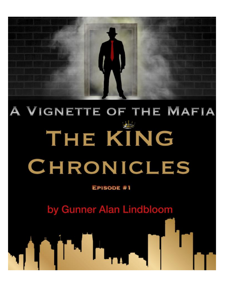

## A VIGNETTE OF THE MAFIA  $\frac{1}{\sqrt{2}}\frac{1}{\sqrt{2}}\frac{1}{\sqrt{2}}\frac{1}{\sqrt{2}}\frac{1}{\sqrt{2}}\frac{1}{\sqrt{2}}\frac{1}{\sqrt{2}}\frac{1}{\sqrt{2}}\frac{1}{\sqrt{2}}\frac{1}{\sqrt{2}}\frac{1}{\sqrt{2}}\frac{1}{\sqrt{2}}\frac{1}{\sqrt{2}}\frac{1}{\sqrt{2}}\frac{1}{\sqrt{2}}\frac{1}{\sqrt{2}}\frac{1}{\sqrt{2}}\frac{1}{\sqrt{2}}\frac{1}{\sqrt{2}}\frac{1}{\sqrt{2}}\frac{1}{\sqrt{2}}\frac{1}{\sqrt{2}}$ THE KING CHRONICLES

EPISODE #1

by Gunner Alan Lindbloom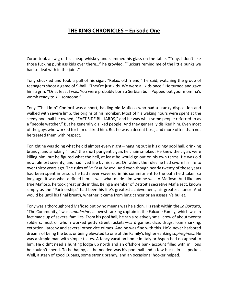## **THE KING CHRONICLES – Episode One**

Zoron took a swig of his cheap whiskey and slammed his glass on the table. "Tony, I don't like those fucking punk ass kids over there…" he growled. "Fuckers remind me of the little punks we had to deal with in the joint."

Tony chuckled and took a pull of his cigar. "Relax, old friend," he said, watching the group of teenagers shoot a game of 9-ball. "They're just kids. We were all kids once." He turned and gave him a grin. "Or at least I was. You were probably born a Serbian bull. Popped out your momma's womb ready to kill someone."

Tony "The Limp" Conforti was a short, balding old Mafioso who had a cranky disposition and walked with severe limp, the origins of his moniker. Most of his waking hours were spent at the seedy pool hall he owned, "EAST SIDE BILLIARDS," and he was what some people referred to as a "people watcher." But he generally disliked people. And they generally disliked him. Even most of the guys who worked for him disliked him. But he was a decent boss, and more often than not he treated them with respect.

Tonight he was doing what he did almost every night—hanging out in his dingy pool hall, drinking brandy, and smoking "lilos," the short pungent cigars he chain smoked. He knew the cigars were killing him, but he figured what the hell, at least he would go out on his own terms. He was old now, almost seventy, and had lived life by his rules. Or rather, the rules he had sworn his life to over thirty years ago. The rules of *La Cosa Nostra*. And even though nearly twenty of those years had been spent in prison, he had never wavered in his commitment to the oath he'd taken so long ago. It was what defined him. It was what made him who he was. A Mafioso. And like any true Mafioso, he took great pride in this. Being a member of Detroit's secretive Mafia sect, known simply as the "Partnership," had been his life's greatest achievement, his greatest honor. And would be until his final breath, whether it came from lung cancer or an assassin's bullet.

Tony was a thoroughbred Mafioso but by no means was he a don. His rank within the *La Borgata*, "The Community," was *capodecine,* a lowest ranking captain in the Falcone Family, which was in fact made up of several families. From his pool hall, he ran a relatively small crew of about twenty soldiers, most of whom worked petty street rackets—card games, dice, drugs, loan sharking, extortion, larceny and several other vice crimes. And he was fine with this. He'd never harbored dreams of being the boss or being elevated to one of the Family's higher-ranking *capiregimes*. He was a simple man with simple tastes. A fancy vacation home in Italy or Aspen had no appeal to him. He didn't need a hunting lodge up north and an offshore bank account filled with millions he couldn't spend. To be happy, all he needed was his pool hall and a few bucks in his pocket. Well, a stash of good Cubans, some strong brandy, and an occasional hooker helped.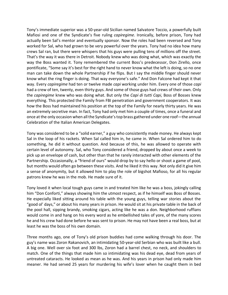Tony's immediate superior was a 50-year-old Sicilian named Salvatore Toccio, a powerfully built Mafiosi and one of the Syndicate's five ruling *capiregime*. Ironically, before prison, Tony had actually been Sal's mentor and eventually sponsor. Now the roles had been reversed and Tony worked for Sal, who had grown to be very powerful over the years. Tony had no idea how many crews Sal ran, but there were whispers that his guys were pulling tens of millions off the street. That's the way it was there in Detroit. Nobody knew who was doing what, which was exactly the way the Boss wanted it. Tony remembered the current Boss's predecessor, Don Zirello, once pontificate, "Some say it's best for the right hand to never know what the left is doing, so no one man can take down the whole Partnership if he flips. But I say the middle finger should never know what the ring finger is doing. That way everyone's safe." And Don Falcone had kept it that way. Every *capiregime* had ten or twelve made *capi* working under him. Every one of those *capi* had a crew of ten, twenty, even thirty guys. And some of those guys had crews of their own. Only the *capiregime* knew who was doing what. But only the *Capi di tutti Capi,* Boss of Bosses knew everything. This protected the Family from FBI penetration and government cooperators. It was how the Boss had maintained his position at the top of the Family for nearly thirty years. He was an extremely secretive man. In fact, Tony had only met him a couple of times, once a funeral and once atthe only occasion when all the Syndicate's top brass gathered under one roof—the annual Celebration of the Italian American Delegates.

Tony was considered to be a "solid earner," a guy who consistently made money. He always kept Sal in the loop of his rackets. When Sal called him in, he came in. When Sal ordered him to do something, he did it without question. And because of this, he was allowed to operate with certain level of autonomy. Sal, who Tony considered a friend, dropped by about once a week to pick up an envelope of cash, but other than that he rarely interacted with other elements of the Partnership. Occasionally, a "friend of ours" would drop by to say hello or shoot a game of pool, but months would often go between these visits. And he liked it this way. Not only did it give him a sense of anonymity, but it allowed him to play the role of bigshot Mafioso, for all his regular patrons knew he was in the mob. He made sure of it.

Tony loved it when local tough guys came in and treated him like he was a boss, jokingly calling him "Don Conforti," always showing him the utmost respect, as if he himself was Boss of Bosses. He especially liked sitting around his table with the young guys, telling war stories about the "good ol' days," or about his many years in prison. He would sit at his private table in the back of the pool hall, sipping brandy, smoking cigars, acting like he was a don. Neighborhood ruffians would come in and hang on his every word as he embellished tales of yore, of the many scores he and his crew had done before he was sent to prison. He may not have been a real boss, but at least he was the boss of his own domain.

Three months ago, one of Tony's old prison buddies had come walking through his door. The guy's name was Zoron Rakanovich, an intimidating 50-year-old Serbian who was built like a bull. A big one. Well over six foot and 300 lbs, Zoron had a barrel chest, no neck, and shoulders to match. One of the things that made him so intimidating was his dead eye, dead from years of untreated cataracts. He looked as mean as he was. And his years in prison had only made him meaner. He had served 25 years for murdering his wife's lover when he caught them in bed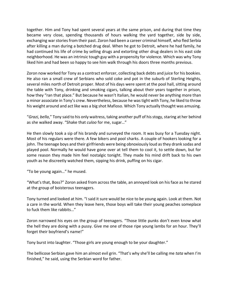together. Him and Tony had spent several years at the same prison, and during that time they became very close, spending thousands of hours walking the yard together, side by side, exchanging war stories from their past. Zoron had been a career criminal himself, who fled Serbia after killing a man during a botched drug deal. When he got to Detroit, where he had family, he had continued his life of crime by selling drugs and extorting other drug dealers in his east side neighborhood. He was an intrinsic tough guy with a propensity for violence. Which was why Tony liked him and had been so happy to see him walk through his doors three months previous.

Zoron now worked for Tony as a contract enforcer, collecting back debts and juice for his bookies. He also ran a small crew of Serbians who sold coke and pot in the suburb of Sterling Heights, several miles north of Detroit proper. Most of his days were spent at the pool hall, sitting around the table with Tony, drinking and smoking cigars, talking about their years together in prison, how they "ran that place." But because he wasn't Italian, he would never be anything more than a minor associate in Tony's crew. Nevertheless, because he was tight with Tony, he liked to throw his weight around and act like was a big shot Mafioso. Which Tony actually thought was amusing.

"*Grazi, bella*," Tony said to his only waitress, taking another puff of his stogy, staring at her behind as she walked away. "Shake that *culoo* for me, sugar…"

He then slowly took a sip of his brandy and surveyed the room. It was busy for a Tuesday night. Most of his regulars were there. A few bikers and pool sharks. A couple of hookers looking for a john. The teenage boys and their girlfriends were being obnoxiously loud as they drank sodas and played pool. Normally he would have gone over at tell them to cool it, to settle down, but for some reason they made him feel nostalgic tonight. They made his mind drift back to his own youth as he discreetly watched them, sipping his drink, puffing on his cigar.

"To be young again…" he mused.

"What's that, Boss?" Zoron asked from across the table, an annoyed look on his face as he stared at the group of boisterous teenagers.

Tony turned and looked at him. "I said it sure would be nice to be young again. Look at them. Not a care in the world. When they leave here, those boys will take their young peaches someplace to fuck them like rabbits…"

Zoron narrowed his eyes on the group of teenagers. "Those little punks don't even know what the hell they are doing with a pussy. Give me one of those ripe young lambs for an hour. They'll forget their boyfriend's name!"

Tony burst into laughter. "Those girls are young enough to be your daughter."

The bellicose Serbian gave him an almost evil grin. "That's why she'll be calling me *tata* when I'm finished," he said, using the Serbian word for father.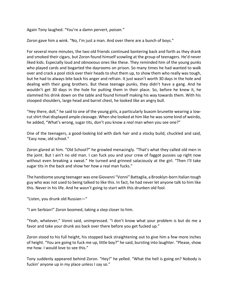Again Tony laughed. "You're a damn pervert, *paisan."*

Zoron gave him a wink. "No, I'm just a man. And over there are a bunch of boys."

For several more minutes, the two old friends continued bantering back and forth as they drank and smoked their cigars, but Zoron found himself scowling at the group of teenagers. He'd never liked kids. Especially loud and obnoxious ones like these. They reminded him of the young punks who played cards and bogarted the dayrooms on prison. So many times he had wanted to walk over and crack a pool stick over their heads to shut them up, to show them who really was tough, but he had to always bite back his anger and refrain. It just wasn't worth 30 days in the hole and dealing with their gang brothers. But these teenage punks, they didn't have a gang. And he wouldn't get 30 days in the hole for putting them in their place. So, before he knew it, he slammed his drink down on the table and found himself making his way towards them. With his stooped shoulders, large head and barrel chest, he looked like an angry bull.

"Hey there, doll," he said to one of the young girls, a particularly buxom brunette wearing a lowcut shirt that displayed ample cleavage. When she looked at him like he was some kind of weirdo, he added, "What's wrong, sugar tits, don't you know a *real* man when you see one?"

One of the teenagers, a good-looking kid with dark hair and a stocky build, chuckled and said, "Easy now, old school."

Zoron glared at him. "Old School?" he growled menacingly. "That's what they called old men in the joint. But I ain't no old man. I can fuck you and your crew of faggot pussies up right now without even breaking a sweat." He turned and grinned salaciously at the girl. "Then I'll take sugar tits in the back and show her how a real man fucks."

The handsome young teenager was one Giovanni "Vonni" Battaglia, a Brooklyn-born Italian tough guy who was not used to being talked to like this. In fact, he had never let anyone talk to him like this. Never in his life. And he wasn't going to start with this drunken old fool.

"Listen, you drunk old Russian—"

"I am Serbian!" Zoron boomed, taking a step closer to him.

"Yeah, whatever," Vonni said, unimpressed. "I don't know what your problem is but do me a favor and take your drunk ass back over there before you get fucked up."

Zoron stood to his full height, his stopped back straightening out to give him a few more inches of height. "You are going to fuck me up, little boy?" he said, bursting into laughter. "Please, show me how. I would love to see this."

Tony suddenly appeared behind Zoron. "Hey!" he yelled. "What the hell is going on? Nobody is fuckin' anyone up in my place unless I say so."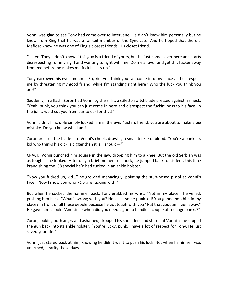Vonni was glad to see Tony had come over to intervene. He didn't know him personally but he knew from King that he was a ranked member of the Syndicate. And he hoped that the old Mafioso knew he was one of King's closest friends. His closet friend.

"Listen, Tony, I don't know if this guy is a friend of yours, but he just comes over here and starts disrespecting Tommy's girl and wanting to fight with me. Do me a favor and get this fucker away from me before he makes me fuck his ass up."

Tony narrowed his eyes on him. "So, kid, you think you can come into my place and disrespect me by threatening my good friend, while I'm standing right here? Who the fuck you think you are?"

Suddenly, in a flash, Zoron had Vonni by the shirt, a stiletto switchblade pressed against his neck. "Yeah, punk, you think you can just come in here and disrespect the fuckin' boss to his face. In the joint, we'd cut you from ear to ear for that!"

Vonni didn't flinch. He simply looked him in the eye. "Listen, friend, you are about to make a big mistake. Do you know who I am?"

Zoron pressed the blade into Vonni's cheek, drawing a small trickle of blood. "You're a punk ass kid who thinks his dick is bigger than it is. I should—"

CRACK! Vonni punched him square in the jaw, dropping him to a knee. But the old Serbian was as tough as he looked. After only a brief moment of shock, he jumped back to his feet, this time brandishing the .38 special he'd had tucked in an ankle holster.

"Now you fucked up, kid…" he growled menacingly, pointing the stub-nosed pistol at Vonni's face. "Now I show you who *YOU* are fucking with."

But when he cocked the hammer back, Tony grabbed his wrist. "Not in my place!" he yelled, pushing him back. "What's wrong with you? He's just some punk kid! You gonna pop him in my place? In front of all these people because he got tough with you? Put that goddamn gun away." He gave him a look. "And since when did you need a gun to handle a couple of teenage punks?"

Zoron, looking both angry and ashamed, drooped his shoulders and stared at Vonni as he slipped the gun back into its ankle holster. "You're lucky, punk, I have a lot of respect for Tony. He just saved your life."

Vonni just stared back at him, knowing he didn't want to push his luck. Not when he himself was unarmed, a rarity these days.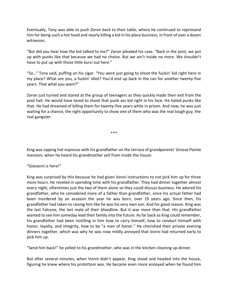Eventually, Tony was able to push Zoron back to their table, where he continued to reprimand him for being such a hot head and nearly killing a kid in his place business, in front of over a dozen witnesses.

"But did you hear how the kid talked to me?" Zoron pleaded his case. "Back in the joint, we put up with punks like that because we had no choice. But we ain't inside no more. We shouldn't have to put up with those little *kurci* out here."

"So…" Tony said, puffing on his cigar. "You were just going to shoot the fuckin' kid right here in my place? What are you, a fuckin' idiot? You'd end up back in the can for another twenty-five years. That what you want?"

Zoron just turned and stared at the group of teenagers as they quickly made their exit from the pool hall. He would have loved to shoot that punk ass kid right in his face. He hated punks like that. He had dreamed of killing them for twenty-five years while in prison. And now, he was just waiting for a chance, the right opportunity to show one of them who was the real tough guy, the real gangster.

\*\*\*

King was sipping hot espresso with his grandfather on the terrace of grandparents' Grosse Pointe mansion, when he heard his grandmother yell from inside the house:

"Giovanni is here!"

King was surprised by this because he had given Vonni instructions to not pick him up for three more hours. He reveled in spending time with his grandfather. They had dinner together almost every night, oftentimes just the two of them alone so they could discuss business. He adored his grandfather, who he considered more of a father than grandfather, since his actual father had been murdered by an assassin the year he was born, over 19 years ago. Since then, his grandfather had taken to raising him like he was his very own son. And for good reason. King was the last Falcone, the last male of their bloodline. But it was more than that. His grandfather wanted to see him someday lead their family into the future. As far back as King could remember, his grandfather had been instilling in him how to carry himself, how to conduct himself with honor, loyalty, and integrity, how to be "a man of honor." He cherished their private evening dinners together, which was why he was now mildly annoyed that Vonni had returned early to pick him up.

"Send him back!" he yelled to his grandmother, who was in the kitchen cleaning up dinner.

But after several minutes, when Vonni didn't appear, King stood and headed into the house, figuring he knew where his *protettore* was. He became even more annoyed when he found him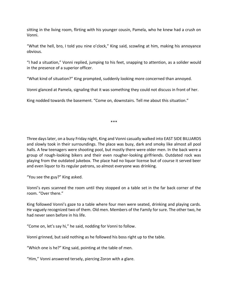sitting in the living room, flirting with his younger cousin, Pamela, who he knew had a crush on Vonni.

"What the hell, bro, I told you nine o'clock," King said, scowling at him, making his annoyance obvious.

"I had a situation," Vonni replied, jumping to his feet, snapping to attention, as a solider would in the presence of a superior officer.

"What kind of situation?" King prompted, suddenly looking more concerned than annoyed.

Vonni glanced at Pamela, signaling that it was something they could not discuss in front of her.

King nodded towards the basement. "Come on, downstairs. Tell me about this situation."

\*\*\*

Three days later, on a busy Friday night, King and Vonni casually walked into EAST SIDE BILLIARDS and slowly took in their surroundings. The place was busy, dark and smoky like almost all pool halls. A few teenagers were shooting pool, but mostly there were older men. In the back were a group of rough-looking bikers and their even rougher-looking girlfriends. Outdated rock was playing from the outdated jukebox. The place had no liquor license but of course it served beer and even liquor to its regular patrons, so almost everyone was drinking.

"You see the guy?" King asked.

Vonni's eyes scanned the room until they stopped on a table set in the far back corner of the room. "Over there."

King followed Vonni's gaze to a table where four men were seated, drinking and playing cards. He vaguely recognized two of them. Old men. Members of the Family for sure. The other two, he had never seen before in his life.

"Come on, let's say hi," he said, nodding for Vonni to follow.

Vonni grinned, but said nothing as he followed his boss right up to the table.

"Which one is he?" King said, pointing at the table of men.

"Him," Vonni answered tersely, piercing Zoron with a glare.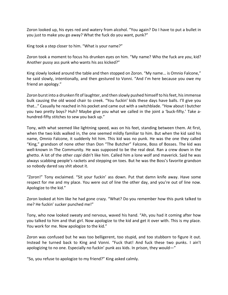Zoron looked up, his eyes red and watery from alcohol. "You again? Do I have to put a bullet in you just to make you go away? What the fuck do you want, punk?"

King took a step closer to him. "What is your name?"

Zoron took a moment to focus his drunken eyes on him. "My name? Who the fuck are *you*, kid? Another pussy ass punk who wants his ass kicked?"

King slowly looked around the table and then stopped on Zoron. "My name… is Omnio Falcone," he said slowly, intentionally, and then gestured to Vonni. "And I'm here because you owe my friend an apology."

Zoron burst into a drunken fit of laughter, and then slowly pushed himself to his feet, his immense bulk causing the old wood chair to creek. "You fuckin' kids these days have balls. I'll give you that…" Casually he reached in his pocket and came out with a switchblade. "How about I butcher you two pretty boys? Huh? Maybe give you what we called in the joint a 'buck-fifty.' Take ahundred-fifty stitches to sew you back up."

Tony, with what seemed like lightning speed, was on his feet, standing between them. At first, when the two kids walked in, the one seemed mildly familiar to him. But when the kid said his name, Omnio Falcone, it suddenly hit him. This kid was no punk. He was the one they called "King," grandson of none other than Don "The Butcher" Falcone, Boss of Bosses. The kid was well-known in The Community. He was supposed to be the real deal. Ran a crew down in the ghetto. A lot of the other *capi* didn't like him. Called him a lone wolf and maverick. Said he was always scabbing people's rackets and stepping on toes. But he was the Boss's favorite grandson so nobody dared say shit about it.

"Zoron!" Tony exclaimed. "Sit your fuckin' ass down. Put that damn knife away. Have some respect for me and my place. You were out of line the other day, and you're out of line now. Apologize to the kid."

Zoron looked at him like he had gone crazy. "What? Do you remember how this punk talked to me? He fuckin' sucker punched me!"

Tony, who now looked sweaty and nervous, waved his hand. "Ah, you had it coming after how you talked to him and that girl. Now apologize to the kid and get it over with. This is my place. You work for me. Now apologize to the kid."

Zoron was confused but he was too belligerent, too stupid, and too stubborn to figure it out. Instead he turned back to King and Vonni. "Fuck that! And fuck these two punks. I ain't apologizing to no one. Especially no fuckin' punk ass kids. In prison, they would—"

"So, you refuse to apologize to my friend?" King asked calmly.